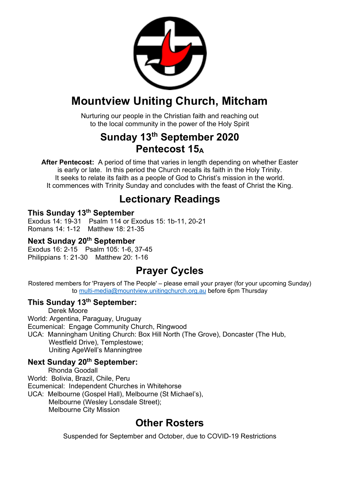

## **Mountview Uniting Church, Mitcham**

Nurturing our people in the Christian faith and reaching out to the local community in the power of the Holy Spirit

## **Sunday 13th September 2020 Pentecost 15A**

**After Pentecost:** A period of time that varies in length depending on whether Easter is early or late. In this period the Church recalls its faith in the Holy Trinity. It seeks to relate its faith as a people of God to Christ's mission in the world. It commences with Trinity Sunday and concludes with the feast of Christ the King.

## **Lectionary Readings**

#### **This Sunday 13th September**

Exodus 14: 19-31 Psalm 114 or Exodus 15: 1b-11, 20-21 Romans 14: 1-12 Matthew 18: 21-35

#### **Next Sunday 20th September**

Exodus 16: 2-15 Psalm 105: 1-6, 37-45 Philippians 1: 21-30 Matthew 20: 1-16

## **Prayer Cycles**

Rostered members for 'Prayers of The People' – please email your prayer (for your upcoming Sunday) to multi-media@mountview.unitingchurch.org.au before 6pm Thursday

#### **This Sunday 13th September:**

Derek Moore World: Argentina, Paraguay, Uruguay Ecumenical: Engage Community Church, Ringwood UCA: Manningham Uniting Church: Box Hill North (The Grove), Doncaster (The Hub, Westfield Drive), Templestowe;

Uniting AgeWell's Manningtree

#### **Next Sunday 20th September:**

Rhonda Goodall World: Bolivia, Brazil, Chile, Peru Ecumenical: Independent Churches in Whitehorse UCA: Melbourne (Gospel Hall), Melbourne (St Michael's), Melbourne (Wesley Lonsdale Street);

Melbourne City Mission

## **Other Rosters**

Suspended for September and October, due to COVID-19 Restrictions